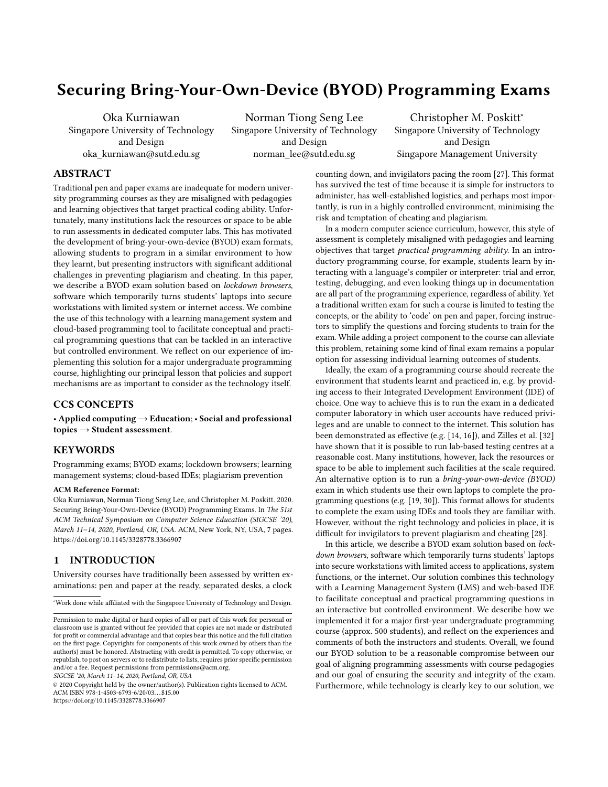# Securing Bring-Your-Own-Device (BYOD) Programming Exams

Oka Kurniawan Singapore University of Technology and Design oka\_kurniawan@sutd.edu.sg

Norman Tiong Seng Lee Singapore University of Technology and Design norman\_lee@sutd.edu.sg

Christopher M. Poskitt<sup>∗</sup> Singapore University of Technology and Design Singapore Management University

## ABSTRACT

Traditional pen and paper exams are inadequate for modern university programming courses as they are misaligned with pedagogies and learning objectives that target practical coding ability. Unfortunately, many institutions lack the resources or space to be able to run assessments in dedicated computer labs. This has motivated the development of bring-your-own-device (BYOD) exam formats, allowing students to program in a similar environment to how they learnt, but presenting instructors with significant additional challenges in preventing plagiarism and cheating. In this paper, we describe a BYOD exam solution based on lockdown browsers, software which temporarily turns students' laptops into secure workstations with limited system or internet access. We combine the use of this technology with a learning management system and cloud-based programming tool to facilitate conceptual and practical programming questions that can be tackled in an interactive but controlled environment. We reflect on our experience of implementing this solution for a major undergraduate programming course, highlighting our principal lesson that policies and support mechanisms are as important to consider as the technology itself.

# CCS CONCEPTS

• Applied computing → Education; • Social and professional  $topics \rightarrow Student assessment$ .

## **KEYWORDS**

Programming exams; BYOD exams; lockdown browsers; learning management systems; cloud-based IDEs; plagiarism prevention

### ACM Reference Format:

Oka Kurniawan, Norman Tiong Seng Lee, and Christopher M. Poskitt. 2020. Securing Bring-Your-Own-Device (BYOD) Programming Exams. In The 51st ACM Technical Symposium on Computer Science Education (SIGCSE '20), March 11–14, 2020, Portland, OR, USA. ACM, New York, NY, USA, [7](#page-6-0) pages. <https://doi.org/10.1145/3328778.3366907>

## 1 INTRODUCTION

University courses have traditionally been assessed by written examinations: pen and paper at the ready, separated desks, a clock

SIGCSE '20, March 11–14, 2020, Portland, OR, USA

© 2020 Copyright held by the owner/author(s). Publication rights licensed to ACM. ACM ISBN 978-1-4503-6793-6/20/03. . . \$15.00 <https://doi.org/10.1145/3328778.3366907>

counting down, and invigilators pacing the room [\[27\]](#page-6-1). This format has survived the test of time because it is simple for instructors to administer, has well-established logistics, and perhaps most importantly, is run in a highly controlled environment, minimising the risk and temptation of cheating and plagiarism.

In a modern computer science curriculum, however, this style of assessment is completely misaligned with pedagogies and learning objectives that target practical programming ability. In an introductory programming course, for example, students learn by interacting with a language's compiler or interpreter: trial and error, testing, debugging, and even looking things up in documentation are all part of the programming experience, regardless of ability. Yet a traditional written exam for such a course is limited to testing the concepts, or the ability to 'code' on pen and paper, forcing instructors to simplify the questions and forcing students to train for the exam. While adding a project component to the course can alleviate this problem, retaining some kind of final exam remains a popular option for assessing individual learning outcomes of students.

Ideally, the exam of a programming course should recreate the environment that students learnt and practiced in, e.g. by providing access to their Integrated Development Environment (IDE) of choice. One way to achieve this is to run the exam in a dedicated computer laboratory in which user accounts have reduced privileges and are unable to connect to the internet. This solution has been demonstrated as effective (e.g. [\[14,](#page-6-2) [16\]](#page-6-3)), and Zilles et al. [\[32\]](#page-6-4) have shown that it is possible to run lab-based testing centres at a reasonable cost. Many institutions, however, lack the resources or space to be able to implement such facilities at the scale required. An alternative option is to run a bring-your-own-device (BYOD) exam in which students use their own laptops to complete the programming questions (e.g. [\[19,](#page-6-5) [30\]](#page-6-6)). This format allows for students to complete the exam using IDEs and tools they are familiar with. However, without the right technology and policies in place, it is difficult for invigilators to prevent plagiarism and cheating [\[28\]](#page-6-7).

In this article, we describe a BYOD exam solution based on lockdown browsers, software which temporarily turns students' laptops into secure workstations with limited access to applications, system functions, or the internet. Our solution combines this technology with a Learning Management System (LMS) and web-based IDE to facilitate conceptual and practical programming questions in an interactive but controlled environment. We describe how we implemented it for a major first-year undergraduate programming course (approx. 500 students), and reflect on the experiences and comments of both the instructors and students. Overall, we found our BYOD solution to be a reasonable compromise between our goal of aligning programming assessments with course pedagogies and our goal of ensuring the security and integrity of the exam. Furthermore, while technology is clearly key to our solution, we

<sup>∗</sup>Work done while affiliated with the Singapore University of Technology and Design.

Permission to make digital or hard copies of all or part of this work for personal or classroom use is granted without fee provided that copies are not made or distributed for profit or commercial advantage and that copies bear this notice and the full citation on the first page. Copyrights for components of this work owned by others than the author(s) must be honored. Abstracting with credit is permitted. To copy otherwise, or republish, to post on servers or to redistribute to lists, requires prior specific permission and/or a fee. Request permissions from permissions@acm.org.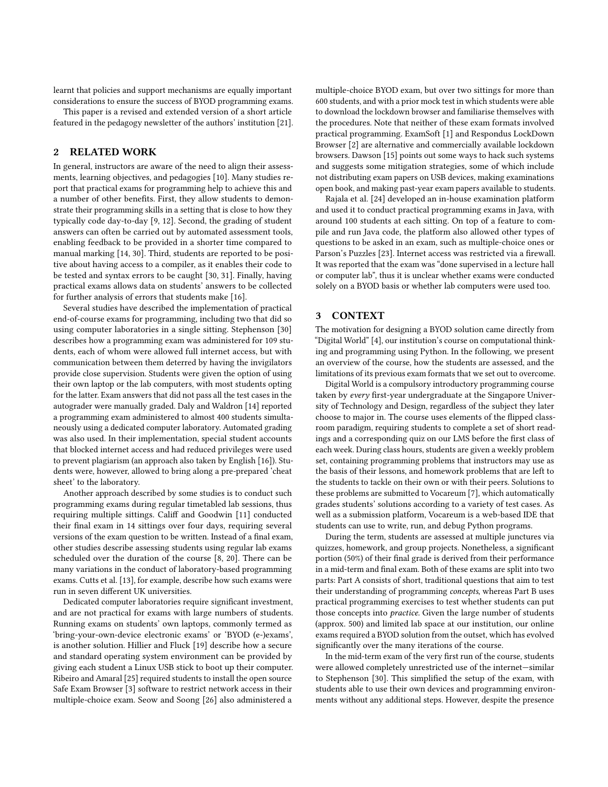learnt that policies and support mechanisms are equally important considerations to ensure the success of BYOD programming exams.

This paper is a revised and extended version of a short article featured in the pedagogy newsletter of the authors' institution [\[21\]](#page-6-8).

# 2 RELATED WORK

In general, instructors are aware of the need to align their assessments, learning objectives, and pedagogies [\[10\]](#page-6-9). Many studies report that practical exams for programming help to achieve this and a number of other benefits. First, they allow students to demonstrate their programming skills in a setting that is close to how they typically code day-to-day [\[9,](#page-6-10) [12\]](#page-6-11). Second, the grading of student answers can often be carried out by automated assessment tools, enabling feedback to be provided in a shorter time compared to manual marking [\[14,](#page-6-2) [30\]](#page-6-6). Third, students are reported to be positive about having access to a compiler, as it enables their code to be tested and syntax errors to be caught [\[30,](#page-6-6) [31\]](#page-6-12). Finally, having practical exams allows data on students' answers to be collected for further analysis of errors that students make [\[16\]](#page-6-3).

Several studies have described the implementation of practical end-of-course exams for programming, including two that did so using computer laboratories in a single sitting. Stephenson [\[30\]](#page-6-6) describes how a programming exam was administered for 109 students, each of whom were allowed full internet access, but with communication between them deterred by having the invigilators provide close supervision. Students were given the option of using their own laptop or the lab computers, with most students opting for the latter. Exam answers that did not pass all the test cases in the autograder were manually graded. Daly and Waldron [\[14\]](#page-6-2) reported a programming exam administered to almost 400 students simultaneously using a dedicated computer laboratory. Automated grading was also used. In their implementation, special student accounts that blocked internet access and had reduced privileges were used to prevent plagiarism (an approach also taken by English [\[16\]](#page-6-3)). Students were, however, allowed to bring along a pre-prepared 'cheat sheet' to the laboratory.

Another approach described by some studies is to conduct such programming exams during regular timetabled lab sessions, thus requiring multiple sittings. Califf and Goodwin [\[11\]](#page-6-13) conducted their final exam in 14 sittings over four days, requiring several versions of the exam question to be written. Instead of a final exam, other studies describe assessing students using regular lab exams scheduled over the duration of the course [\[8,](#page-6-14) [20\]](#page-6-15). There can be many variations in the conduct of laboratory-based programming exams. Cutts et al. [\[13\]](#page-6-16), for example, describe how such exams were run in seven different UK universities.

Dedicated computer laboratories require significant investment, and are not practical for exams with large numbers of students. Running exams on students' own laptops, commonly termed as 'bring-your-own-device electronic exams' or 'BYOD (e-)exams', is another solution. Hillier and Fluck [\[19\]](#page-6-5) describe how a secure and standard operating system environment can be provided by giving each student a Linux USB stick to boot up their computer. Ribeiro and Amaral [\[25\]](#page-6-17) required students to install the open source Safe Exam Browser [\[3\]](#page-6-18) software to restrict network access in their multiple-choice exam. Seow and Soong [\[26\]](#page-6-19) also administered a

multiple-choice BYOD exam, but over two sittings for more than 600 students, and with a prior mock test in which students were able to download the lockdown browser and familiarise themselves with the procedures. Note that neither of these exam formats involved practical programming. ExamSoft [\[1\]](#page-6-20) and Respondus LockDown Browser [\[2\]](#page-6-21) are alternative and commercially available lockdown browsers. Dawson [\[15\]](#page-6-22) points out some ways to hack such systems and suggests some mitigation strategies, some of which include not distributing exam papers on USB devices, making examinations open book, and making past-year exam papers available to students.

Rajala et al. [\[24\]](#page-6-23) developed an in-house examination platform and used it to conduct practical programming exams in Java, with around 100 students at each sitting. On top of a feature to compile and run Java code, the platform also allowed other types of questions to be asked in an exam, such as multiple-choice ones or Parson's Puzzles [\[23\]](#page-6-24). Internet access was restricted via a firewall. It was reported that the exam was "done supervised in a lecture hall or computer lab", thus it is unclear whether exams were conducted solely on a BYOD basis or whether lab computers were used too.

#### 3 CONTEXT

The motivation for designing a BYOD solution came directly from "Digital World" [\[4\]](#page-6-25), our institution's course on computational thinking and programming using Python. In the following, we present an overview of the course, how the students are assessed, and the limitations of its previous exam formats that we set out to overcome.

Digital World is a compulsory introductory programming course taken by every first-year undergraduate at the Singapore University of Technology and Design, regardless of the subject they later choose to major in. The course uses elements of the flipped classroom paradigm, requiring students to complete a set of short readings and a corresponding quiz on our LMS before the first class of each week. During class hours, students are given a weekly problem set, containing programming problems that instructors may use as the basis of their lessons, and homework problems that are left to the students to tackle on their own or with their peers. Solutions to these problems are submitted to Vocareum [\[7\]](#page-6-26), which automatically grades students' solutions according to a variety of test cases. As well as a submission platform, Vocareum is a web-based IDE that students can use to write, run, and debug Python programs.

During the term, students are assessed at multiple junctures via quizzes, homework, and group projects. Nonetheless, a significant portion (50%) of their final grade is derived from their performance in a mid-term and final exam. Both of these exams are split into two parts: Part A consists of short, traditional questions that aim to test their understanding of programming concepts, whereas Part B uses practical programming exercises to test whether students can put those concepts into practice. Given the large number of students (approx. 500) and limited lab space at our institution, our online exams required a BYOD solution from the outset, which has evolved significantly over the many iterations of the course.

In the mid-term exam of the very first run of the course, students were allowed completely unrestricted use of the internet—similar to Stephenson [\[30\]](#page-6-6). This simplified the setup of the exam, with students able to use their own devices and programming environments without any additional steps. However, despite the presence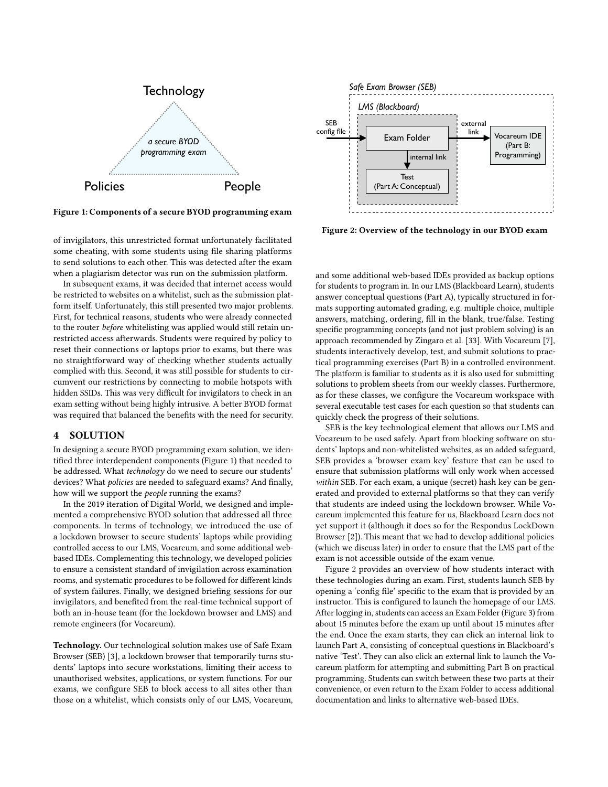<span id="page-2-0"></span>

Figure 1: Components of a secure BYOD programming exam

of invigilators, this unrestricted format unfortunately facilitated some cheating, with some students using file sharing platforms to send solutions to each other. This was detected after the exam when a plagiarism detector was run on the submission platform.

In subsequent exams, it was decided that internet access would be restricted to websites on a whitelist, such as the submission platform itself. Unfortunately, this still presented two major problems. First, for technical reasons, students who were already connected to the router before whitelisting was applied would still retain unrestricted access afterwards. Students were required by policy to reset their connections or laptops prior to exams, but there was no straightforward way of checking whether students actually complied with this. Second, it was still possible for students to circumvent our restrictions by connecting to mobile hotspots with hidden SSIDs. This was very difficult for invigilators to check in an exam setting without being highly intrusive. A better BYOD format was required that balanced the benefits with the need for security.

#### 4 SOLUTION

In designing a secure BYOD programming exam solution, we identified three interdependent components (Figure [1\)](#page-2-0) that needed to be addressed. What technology do we need to secure our students' devices? What policies are needed to safeguard exams? And finally, how will we support the people running the exams?

In the 2019 iteration of Digital World, we designed and implemented a comprehensive BYOD solution that addressed all three components. In terms of technology, we introduced the use of a lockdown browser to secure students' laptops while providing controlled access to our LMS, Vocareum, and some additional webbased IDEs. Complementing this technology, we developed policies to ensure a consistent standard of invigilation across examination rooms, and systematic procedures to be followed for different kinds of system failures. Finally, we designed briefing sessions for our invigilators, and benefited from the real-time technical support of both an in-house team (for the lockdown browser and LMS) and remote engineers (for Vocareum).

Technology. Our technological solution makes use of Safe Exam Browser (SEB) [\[3\]](#page-6-18), a lockdown browser that temporarily turns students' laptops into secure workstations, limiting their access to unauthorised websites, applications, or system functions. For our exams, we configure SEB to block access to all sites other than those on a whitelist, which consists only of our LMS, Vocareum,

<span id="page-2-1"></span>

Figure 2: Overview of the technology in our BYOD exam

and some additional web-based IDEs provided as backup options for students to program in. In our LMS (Blackboard Learn), students answer conceptual questions (Part A), typically structured in formats supporting automated grading, e.g. multiple choice, multiple answers, matching, ordering, fill in the blank, true/false. Testing specific programming concepts (and not just problem solving) is an approach recommended by Zingaro et al. [\[33\]](#page-6-27). With Vocareum [\[7\]](#page-6-26), students interactively develop, test, and submit solutions to practical programming exercises (Part B) in a controlled environment. The platform is familiar to students as it is also used for submitting solutions to problem sheets from our weekly classes. Furthermore, as for these classes, we configure the Vocareum workspace with several executable test cases for each question so that students can quickly check the progress of their solutions.

SEB is the key technological element that allows our LMS and Vocareum to be used safely. Apart from blocking software on students' laptops and non-whitelisted websites, as an added safeguard, SEB provides a 'browser exam key' feature that can be used to ensure that submission platforms will only work when accessed within SEB. For each exam, a unique (secret) hash key can be generated and provided to external platforms so that they can verify that students are indeed using the lockdown browser. While Vocareum implemented this feature for us, Blackboard Learn does not yet support it (although it does so for the Respondus LockDown Browser [\[2\]](#page-6-21)). This meant that we had to develop additional policies (which we discuss later) in order to ensure that the LMS part of the exam is not accessible outside of the exam venue.

Figure [2](#page-2-1) provides an overview of how students interact with these technologies during an exam. First, students launch SEB by opening a 'config file' specific to the exam that is provided by an instructor. This is configured to launch the homepage of our LMS. After logging in, students can access an Exam Folder (Figure [3\)](#page-3-0) from about 15 minutes before the exam up until about 15 minutes after the end. Once the exam starts, they can click an internal link to launch Part A, consisting of conceptual questions in Blackboard's native 'Test'. They can also click an external link to launch the Vocareum platform for attempting and submitting Part B on practical programming. Students can switch between these two parts at their convenience, or even return to the Exam Folder to access additional documentation and links to alternative web-based IDEs.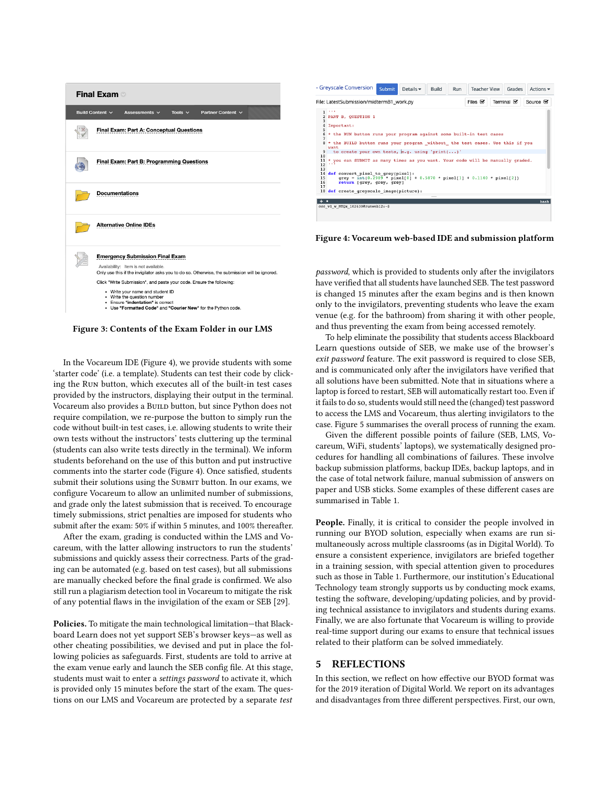<span id="page-3-0"></span>

Figure 3: Contents of the Exam Folder in our LMS

In the Vocareum IDE (Figure [4\)](#page-3-1), we provide students with some 'starter code' (i.e. a template). Students can test their code by clicking the Run button, which executes all of the built-in test cases provided by the instructors, displaying their output in the terminal. Vocareum also provides a BUILD button, but since Python does not require compilation, we re-purpose the button to simply run the code without built-in test cases, i.e. allowing students to write their own tests without the instructors' tests cluttering up the terminal (students can also write tests directly in the terminal). We inform students beforehand on the use of this button and put instructive comments into the starter code (Figure [4\)](#page-3-1). Once satisfied, students submit their solutions using the SUBMIT button. In our exams, we configure Vocareum to allow an unlimited number of submissions, and grade only the latest submission that is received. To encourage timely submissions, strict penalties are imposed for students who submit after the exam: 50% if within 5 minutes, and 100% thereafter.

After the exam, grading is conducted within the LMS and Vocareum, with the latter allowing instructors to run the students' submissions and quickly assess their correctness. Parts of the grading can be automated (e.g. based on test cases), but all submissions are manually checked before the final grade is confirmed. We also still run a plagiarism detection tool in Vocareum to mitigate the risk of any potential flaws in the invigilation of the exam or SEB [\[29\]](#page-6-28).

Policies. To mitigate the main technological limitation—that Blackboard Learn does not yet support SEB's browser keys—as well as other cheating possibilities, we devised and put in place the following policies as safeguards. First, students are told to arrive at the exam venue early and launch the SEB config file. At this stage, students must wait to enter a settings password to activate it, which is provided only 15 minutes before the start of the exam. The questions on our LMS and Vocareum are protected by a separate test

<span id="page-3-1"></span>

Figure 4: Vocareum web-based IDE and submission platform

password, which is provided to students only after the invigilators have verified that all students have launched SEB. The test password is changed 15 minutes after the exam begins and is then known only to the invigilators, preventing students who leave the exam venue (e.g. for the bathroom) from sharing it with other people, and thus preventing the exam from being accessed remotely.

To help eliminate the possibility that students access Blackboard Learn questions outside of SEB, we make use of the browser's exit password feature. The exit password is required to close SEB, and is communicated only after the invigilators have verified that all solutions have been submitted. Note that in situations where a laptop is forced to restart, SEB will automatically restart too. Even if it fails to do so, students would still need the (changed) test password to access the LMS and Vocareum, thus alerting invigilators to the case. Figure [5](#page-4-0) summarises the overall process of running the exam.

Given the different possible points of failure (SEB, LMS, Vocareum, WiFi, students' laptops), we systematically designed procedures for handling all combinations of failures. These involve backup submission platforms, backup IDEs, backup laptops, and in the case of total network failure, manual submission of answers on paper and USB sticks. Some examples of these different cases are summarised in Table [1.](#page-4-1)

People. Finally, it is critical to consider the people involved in running our BYOD solution, especially when exams are run simultaneously across multiple classrooms (as in Digital World). To ensure a consistent experience, invigilators are briefed together in a training session, with special attention given to procedures such as those in Table [1.](#page-4-1) Furthermore, our institution's Educational Technology team strongly supports us by conducting mock exams, testing the software, developing/updating policies, and by providing technical assistance to invigilators and students during exams. Finally, we are also fortunate that Vocareum is willing to provide real-time support during our exams to ensure that technical issues related to their platform can be solved immediately.

# 5 REFLECTIONS

In this section, we reflect on how effective our BYOD format was for the 2019 iteration of Digital World. We report on its advantages and disadvantages from three different perspectives. First, our own,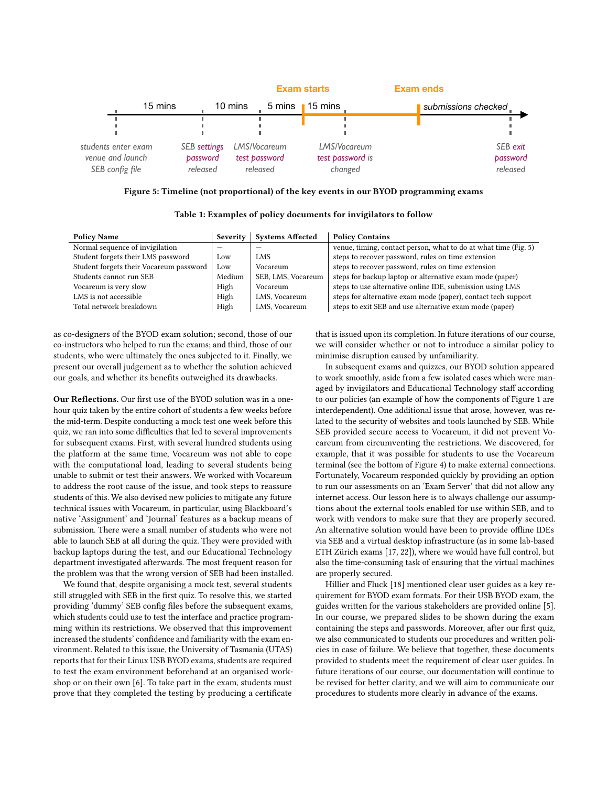<span id="page-4-0"></span>

Figure 5: Timeline (not proportional) of the key events in our BYOD programming exams

<span id="page-4-1"></span>

| <b>Policy Name</b>                      | Severity | <b>Systems Affected</b> | <b>Policy Contains</b>                                          |
|-----------------------------------------|----------|-------------------------|-----------------------------------------------------------------|
| Normal sequence of invigilation         |          |                         | venue, timing, contact person, what to do at what time (Fig. 5) |
| Student forgets their LMS password      | Low      | <b>LMS</b>              | steps to recover password, rules on time extension              |
| Student forgets their Vocareum password | Low      | Vocareum                | steps to recover password, rules on time extension              |
| Students cannot run SEB                 | Medium   | SEB, LMS, Vocareum      | steps for backup laptop or alternative exam mode (paper)        |
| Vocareum is very slow                   | High     | Vocareum                | steps to use alternative online IDE, submission using LMS       |
| LMS is not accessible                   | High     | LMS, Vocareum           | steps for alternative exam mode (paper), contact tech support   |
| Total network breakdown                 | High     | LMS, Vocareum           | steps to exit SEB and use alternative exam mode (paper)         |

Table 1: Examples of policy documents for invigilators to follow

as co-designers of the BYOD exam solution; second, those of our co-instructors who helped to run the exams; and third, those of our students, who were ultimately the ones subjected to it. Finally, we present our overall judgement as to whether the solution achieved our goals, and whether its benefits outweighed its drawbacks.

Our Reflections. Our first use of the BYOD solution was in a onehour quiz taken by the entire cohort of students a few weeks before the mid-term. Despite conducting a mock test one week before this quiz, we ran into some difficulties that led to several improvements for subsequent exams. First, with several hundred students using the platform at the same time, Vocareum was not able to cope with the computational load, leading to several students being unable to submit or test their answers. We worked with Vocareum to address the root cause of the issue, and took steps to reassure students of this. We also devised new policies to mitigate any future technical issues with Vocareum, in particular, using Blackboard's native 'Assignment' and 'Journal' features as a backup means of submission. There were a small number of students who were not able to launch SEB at all during the quiz. They were provided with backup laptops during the test, and our Educational Technology department investigated afterwards. The most frequent reason for the problem was that the wrong version of SEB had been installed.

We found that, despite organising a mock test, several students still struggled with SEB in the first quiz. To resolve this, we started providing 'dummy' SEB config files before the subsequent exams, which students could use to test the interface and practice programming within its restrictions. We observed that this improvement increased the students' confidence and familiarity with the exam environment. Related to this issue, the University of Tasmania (UTAS) reports that for their Linux USB BYOD exams, students are required to test the exam environment beforehand at an organised workshop or on their own [\[6\]](#page-6-29). To take part in the exam, students must prove that they completed the testing by producing a certificate

that is issued upon its completion. In future iterations of our course, we will consider whether or not to introduce a similar policy to minimise disruption caused by unfamiliarity.

In subsequent exams and quizzes, our BYOD solution appeared to work smoothly, aside from a few isolated cases which were managed by invigilators and Educational Technology staff according to our policies (an example of how the components of Figure [1](#page-2-0) are interdependent). One additional issue that arose, however, was related to the security of websites and tools launched by SEB. While SEB provided secure access to Vocareum, it did not prevent Vocareum from circumventing the restrictions. We discovered, for example, that it was possible for students to use the Vocareum terminal (see the bottom of Figure [4\)](#page-3-1) to make external connections. Fortunately, Vocareum responded quickly by providing an option to run our assessments on an 'Exam Server' that did not allow any internet access. Our lesson here is to always challenge our assumptions about the external tools enabled for use within SEB, and to work with vendors to make sure that they are properly secured. An alternative solution would have been to provide offline IDEs via SEB and a virtual desktop infrastructure (as in some lab-based ETH Zürich exams [\[17,](#page-6-30) [22\]](#page-6-31)), where we would have full control, but also the time-consuming task of ensuring that the virtual machines are properly secured.

Hillier and Fluck [\[18\]](#page-6-32) mentioned clear user guides as a key requirement for BYOD exam formats. For their USB BYOD exam, the guides written for the various stakeholders are provided online [\[5\]](#page-6-33). In our course, we prepared slides to be shown during the exam containing the steps and passwords. Moreover, after our first quiz, we also communicated to students our procedures and written policies in case of failure. We believe that together, these documents provided to students meet the requirement of clear user guides. In future iterations of our course, our documentation will continue to be revised for better clarity, and we will aim to communicate our procedures to students more clearly in advance of the exams.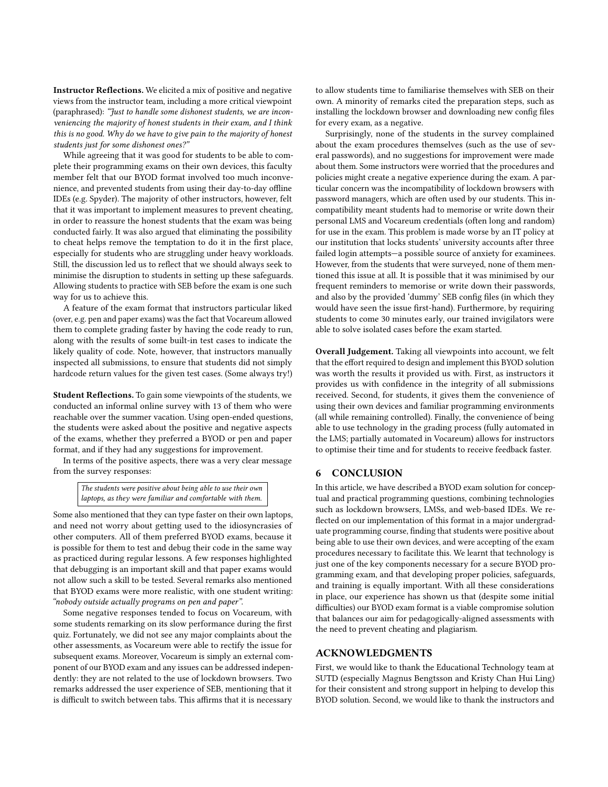Instructor Reflections. We elicited a mix of positive and negative views from the instructor team, including a more critical viewpoint (paraphrased): "Just to handle some dishonest students, we are inconveniencing the majority of honest students in their exam, and I think this is no good. Why do we have to give pain to the majority of honest students just for some dishonest ones?"

While agreeing that it was good for students to be able to complete their programming exams on their own devices, this faculty member felt that our BYOD format involved too much inconvenience, and prevented students from using their day-to-day offline IDEs (e.g. Spyder). The majority of other instructors, however, felt that it was important to implement measures to prevent cheating, in order to reassure the honest students that the exam was being conducted fairly. It was also argued that eliminating the possibility to cheat helps remove the temptation to do it in the first place, especially for students who are struggling under heavy workloads. Still, the discussion led us to reflect that we should always seek to minimise the disruption to students in setting up these safeguards. Allowing students to practice with SEB before the exam is one such way for us to achieve this.

A feature of the exam format that instructors particular liked (over, e.g. pen and paper exams) was the fact that Vocareum allowed them to complete grading faster by having the code ready to run, along with the results of some built-in test cases to indicate the likely quality of code. Note, however, that instructors manually inspected all submissions, to ensure that students did not simply hardcode return values for the given test cases. (Some always try!)

Student Reflections. To gain some viewpoints of the students, we conducted an informal online survey with 13 of them who were reachable over the summer vacation. Using open-ended questions, the students were asked about the positive and negative aspects of the exams, whether they preferred a BYOD or pen and paper format, and if they had any suggestions for improvement.

In terms of the positive aspects, there was a very clear message from the survey responses:

> The students were positive about being able to use their own laptops, as they were familiar and comfortable with them.

Some also mentioned that they can type faster on their own laptops, and need not worry about getting used to the idiosyncrasies of other computers. All of them preferred BYOD exams, because it is possible for them to test and debug their code in the same way as practiced during regular lessons. A few responses highlighted that debugging is an important skill and that paper exams would not allow such a skill to be tested. Several remarks also mentioned that BYOD exams were more realistic, with one student writing: "nobody outside actually programs on pen and paper".

Some negative responses tended to focus on Vocareum, with some students remarking on its slow performance during the first quiz. Fortunately, we did not see any major complaints about the other assessments, as Vocareum were able to rectify the issue for subsequent exams. Moreover, Vocareum is simply an external component of our BYOD exam and any issues can be addressed independently: they are not related to the use of lockdown browsers. Two remarks addressed the user experience of SEB, mentioning that it is difficult to switch between tabs. This affirms that it is necessary

to allow students time to familiarise themselves with SEB on their own. A minority of remarks cited the preparation steps, such as installing the lockdown browser and downloading new config files for every exam, as a negative.

Surprisingly, none of the students in the survey complained about the exam procedures themselves (such as the use of several passwords), and no suggestions for improvement were made about them. Some instructors were worried that the procedures and policies might create a negative experience during the exam. A particular concern was the incompatibility of lockdown browsers with password managers, which are often used by our students. This incompatibility meant students had to memorise or write down their personal LMS and Vocareum credentials (often long and random) for use in the exam. This problem is made worse by an IT policy at our institution that locks students' university accounts after three failed login attempts—a possible source of anxiety for examinees. However, from the students that were surveyed, none of them mentioned this issue at all. It is possible that it was minimised by our frequent reminders to memorise or write down their passwords, and also by the provided 'dummy' SEB config files (in which they would have seen the issue first-hand). Furthermore, by requiring students to come 30 minutes early, our trained invigilators were able to solve isolated cases before the exam started.

Overall Judgement. Taking all viewpoints into account, we felt that the effort required to design and implement this BYOD solution was worth the results it provided us with. First, as instructors it provides us with confidence in the integrity of all submissions received. Second, for students, it gives them the convenience of using their own devices and familiar programming environments (all while remaining controlled). Finally, the convenience of being able to use technology in the grading process (fully automated in the LMS; partially automated in Vocareum) allows for instructors to optimise their time and for students to receive feedback faster.

# 6 CONCLUSION

In this article, we have described a BYOD exam solution for conceptual and practical programming questions, combining technologies such as lockdown browsers, LMSs, and web-based IDEs. We reflected on our implementation of this format in a major undergraduate programming course, finding that students were positive about being able to use their own devices, and were accepting of the exam procedures necessary to facilitate this. We learnt that technology is just one of the key components necessary for a secure BYOD programming exam, and that developing proper policies, safeguards, and training is equally important. With all these considerations in place, our experience has shown us that (despite some initial difficulties) our BYOD exam format is a viable compromise solution that balances our aim for pedagogically-aligned assessments with the need to prevent cheating and plagiarism.

## ACKNOWLEDGMENTS

First, we would like to thank the Educational Technology team at SUTD (especially Magnus Bengtsson and Kristy Chan Hui Ling) for their consistent and strong support in helping to develop this BYOD solution. Second, we would like to thank the instructors and